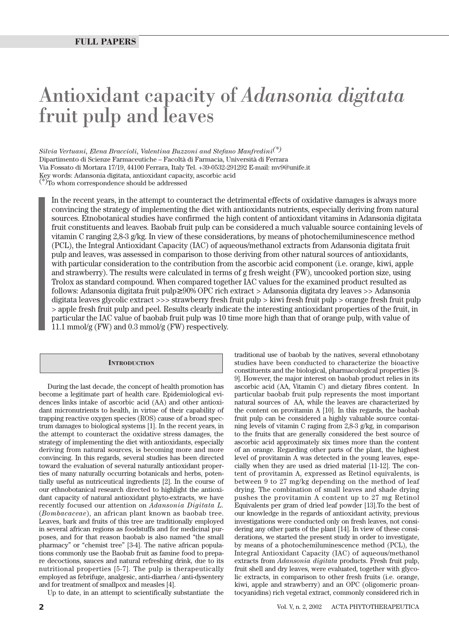# Antioxidant capacity of *Adansonia digitata* fruit pulp and leaves

*Silvia Vertuani, Elena Braccioli, Valentina Buzzoni and Stefano Manfredini(\*)* Dipartimento di Scienze Farmaceutiche – Facoltà di Farmacia, Università di Ferrara Via Fossato di Mortara 17/19, 44100 Ferrara, Italy Tel. +39-0532-291292 E-mail: mv9@unife.it Key words: Adansonia digitata, antioxidant capacity, ascorbic acid (\*)To whom correspondence should be addressed

In the recent years, in the attempt to counteract the detrimental effects of oxidative damages is always more convincing the strategy of implementing the diet with antioxidants nutrients, especially deriving from natural sources. Etnobotanical studies have confirmed the high content of antioxidant vitamins in Adansonia digitata fruit constituents and leaves. Baobab fruit pulp can be considered a much valuable source containing levels of vitamin C ranging 2,8-3 g/kg. In view of these considerations, by means of photochemiluminescence method (PCL), the Integral Antioxidant Capacity (IAC) of aqueous/methanol extracts from Adansonia digitata fruit pulp and leaves, was assessed in comparison to those deriving from other natural sources of antioxidants, with particular consideration to the contribution from the ascorbic acid component (i.e. orange, kiwi, apple and strawberry). The results were calculated in terms of g fresh weight (FW), uncooked portion size, using Trolox as standard compound. When compared together IAC values for the examined product resulted as follows: Adansonia digitata fruit pulp≥ 90% OPC rich extract > Adansonia digitata dry leaves >> Adansonia digitata leaves glycolic extract >>> strawberry fresh fruit pulp > kiwi fresh fruit pulp > orange fresh fruit pulp > apple fresh fruit pulp and peel. Results clearly indicate the interesting antioxidant properties of the fruit, in particular the IAC value of baobab fruit pulp was 10 time more high than that of orange pulp, with value of 11.1 mmol/g (FW) and 0.3 mmol/g (FW) respectively.

# **INTRODUCTION**

During the last decade, the concept of health promotion has become a legitimate part of health care. Epidemiological evidences links intake of ascorbic acid (AA) and other antioxidant micronutrients to health, in virtue of their capability of trapping reactive oxygen species (ROS) cause of a broad spectrum damages to biological systems [1]. In the recent years, in the attempt to counteract the oxidative stress damages, the strategy of implementing the diet with antioxidants, especially deriving from natural sources, is becoming more and more convincing. In this regards, several studies has been directed toward the evaluation of several naturally antioxidant properties of many naturally occurring botanicals and herbs, potentially useful as nutriceutical ingredients [2]. In the course of our ethnobotanical research directed to highlight the antioxidant capacity of natural antioxidant phyto-extracts, we have recently focused our attention on *Adansonia Digitata L.* (*Bombacaceae*), an african plant known as baobab tree. Leaves, bark and fruits of this tree are traditionally employed in several african regions as foodstuffs and for medicinal purposes, and for that reason baobab is also named "the small pharmacy" or "chemist tree" [3-4]. The native african populations commonly use the Baobab fruit as famine food to prepare decoctions, sauces and natural refreshing drink, due to its nutritional properties [5-7]. The pulp is therapeutically employed as febrifuge, analgesic, anti-diarrhea / anti-dysentery and for treatment of smallpox and measles [4].

Up to date, in an attempt to scientifically substantiate the

traditional use of baobab by the natives, several ethnobotany studies have been conducted to characterize the bioactive constituents and the biological, pharmacological properties [8- 9]. However, the major interest on baobab product relies in its ascorbic acid (AA, Vitamin C) and dietary fibres content. In particular baobab fruit pulp represents the most important natural sources of AA, while the leaves are characterized by the content on provitamin A [10]. In this regards, the baobab fruit pulp can be considered a highly valuable source containing levels of vitamin C raging from 2,8-3 g/kg, in comparison to the fruits that are generally considered the best source of ascorbic acid approximately six times more than the content of an orange. Regarding other parts of the plant, the highest level of provitamin A was detected in the young leaves, especially when they are used as dried material [11-12]. The content of provitamin A, expressed as Retinol equivalents, is between 9 to 27 mg/kg depending on the method of leaf drying. The combination of small leaves and shade drying pushes the provitamin A content up to 27 mg Retinol Equivalents per gram of dried leaf powder [13].To the best of our knowledge in the regards of antioxidant activity, previous investigations were conducted only on fresh leaves, not considering any other parts of the plant [14]. In view of these considerations, we started the present study in order to investigate, by means of a photochemiluminescence method (PCL), the Integral Antioxidant Capacity (IAC) of aqueous/methanol extracts from *Adansonia digitata* products. Fresh fruit pulp, fruit shell and dry leaves, were evaluated, together with glycolic extracts, in comparison to other fresh fruits (i.e. orange, kiwi, apple and strawberry) and an OPC (oligomeric proantocyanidins) rich vegetal extract, commonly considered rich in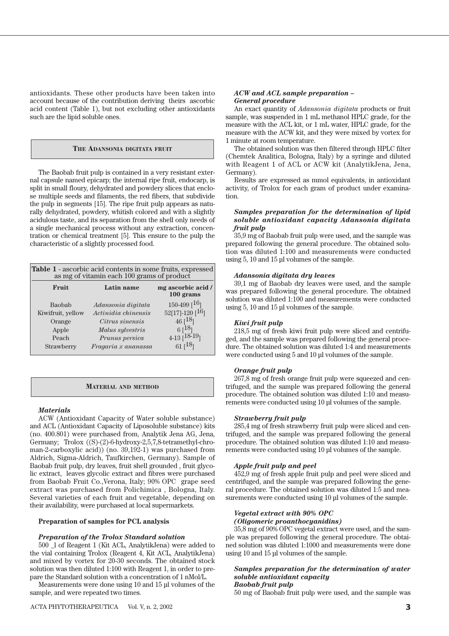antioxidants. These other products have been taken into account because of the contribution deriving theirs ascorbic acid content (Table 1), but not excluding other antioxidants such are the lipid soluble ones.

#### **THE ADANSONIA DIGITATA FRUIT**

The Baobab fruit pulp is contained in a very resistant external capsule named epicarp; the internal ripe fruit, endocarp, is split in small floury, dehydrated and powdery slices that enclose multiple seeds and filaments, the red fibers, that subdivide the pulp in segments [15]. The ripe fruit pulp appears as naturally dehydrated, powdery, whitish colored and with a slightly acidulous taste, and its separation from the shell only needs of a single mechanical process without any extraction, concentration or chemical treatment [5]. This ensure to the pulp the characteristic of a slightly processed food.

| Table 1 - ascorbic acid contents in some fruits, expressed<br>as mg of vitamin each 100 grams of product |                                                                                                                           |                                                                                               |  |
|----------------------------------------------------------------------------------------------------------|---------------------------------------------------------------------------------------------------------------------------|-----------------------------------------------------------------------------------------------|--|
| Fruit                                                                                                    | Latin name                                                                                                                | mg ascorbic acid/<br>100 grams                                                                |  |
| <b>Baobab</b><br>Kiwifruit, yellow<br>Orange<br>Apple<br>Peach<br>Strawberry                             | Adansonia digitata<br>Actinidia chinensis<br>Citrus sinensis<br>Malus sylvestris<br>Prunus persica<br>Fragaria x ananassa | $150-499$ $[16]$<br>$52[17]-120[16]$<br>46[18]<br>$61^{8}$<br>$4-13$ $[18-19]$<br>61 [ $18$ ] |  |

#### **MATERIAL AND METHOD**

#### *Materials*

ACW (Antioxidant Capacity of Water soluble substance) and ACL (Antioxidant Capacity of Liposoluble substance) kits (no. 400.801) were purchased from, Analytik Jena AG, Jena, Germany; Trolox ((S)-(2)-6-hydroxy-2,5,7,8-tetramethyl-chroman-2-carboxylic acid)) (no. 39,192-1) was purchased from Aldrich, Sigma-Aldrich, Taufkirchen, Germany). Sample of Baobab fruit pulp, dry leaves, fruit shell grounded , fruit glycolic extract, leaves glycolic extract and fibres were purchased from Baobab Fruit Co.,Verona, Italy; 90% OPC grape seed extract was purchased from Polichimica , Bologna, Italy. Several varieties of each fruit and vegetable, depending on their availability, were purchased at local supermarkets.

# **Preparation of samples for PCL analysis**

#### *Preparation of the Trolox Standard solution*

500 \_l of Reagent 1 (Kit ACL, AnalytikJena) were added to the vial containing Trolox (Reagent 4, Kit ACL, AnalytikJena) and mixed by vortex for 20-30 seconds. The obtained stock solution was then diluted 1:100 with Reagent 1, in order to prepare the Standard solution with a concentration of 1 nMol/L.

Measurements were done using 10 and 15 µl volumes of the sample, and were repeated two times.

#### *ACW and ACL sample preparation – General procedure*

An exact quantity of *Adansonia digitata* products or fruit sample, was suspended in 1 mL methanol HPLC grade, for the measure with the ACL kit, or 1 mL water, HPLC grade, for the measure with the ACW kit, and they were mixed by vortex for 1 minute at room temperature.

The obtained solution was then filtered through HPLC filter (Chemtek Analitica, Bologna, Italy) by a syringe and diluted with Reagent 1 of ACL or ACW kit (AnalytikJena, Jena, Germany).

Results are expressed as mmol equivalents, in antioxidant activity, of Trolox for each gram of product under examination.

# *Samples preparation for the determination of lipid soluble antioxidant capacity Adansonia digitata fruit pulp*

35,9 mg of Baobab fruit pulp were used, and the sample was prepared following the general procedure. The obtained solution was diluted 1:100 and measurements were conducted using 5, 10 and 15 µl volumes of the sample.

#### *Adansonia digitata dry leaves*

39,1 mg of Baobab dry leaves were used, and the sample was prepared following the general procedure. The obtained solution was diluted 1:100 and measurements were conducted using 5, 10 and 15 µl volumes of the sample.

#### *Kiwi fruit pulp*

218,5 mg of fresh kiwi fruit pulp were sliced and centrifuged, and the sample was prepared following the general procedure. The obtained solution was diluted 1:4 and measurements were conducted using 5 and 10 µl volumes of the sample.

#### *Orange fruit pulp*

267,8 mg of fresh orange fruit pulp were squeezed and centrifuged, and the sample was prepared following the general procedure. The obtained solution was diluted 1:10 and measurements were conducted using 10 µl volumes of the sample.

#### *Strawberry fruit pulp*

285,4 mg of fresh strawberry fruit pulp were sliced and centrifuged, and the sample was prepared following the general procedure. The obtained solution was diluted 1:10 and measurements were conducted using 10 µl volumes of the sample.

#### *Apple fruit pulp and peel*

452,9 mg of fresh apple fruit pulp and peel were sliced and centrifuged, and the sample was prepared following the general procedure. The obtained solution was diluted 1:5 and measurements were conducted using 10 µl volumes of the sample.

#### *Vegetal extract with 90% OPC (Oligomeric proanthocyanidins)*

35,8 mg of 90% OPC vegetal extract were used, and the sample was prepared following the general procedure. The obtained solution was diluted 1:1000 and measurements were done using 10 and 15 µl volumes of the sample.

#### *Samples preparation for the determination of water soluble antioxidant capacity Baobab fruit pulp*

50 mg of Baobab fruit pulp were used, and the sample was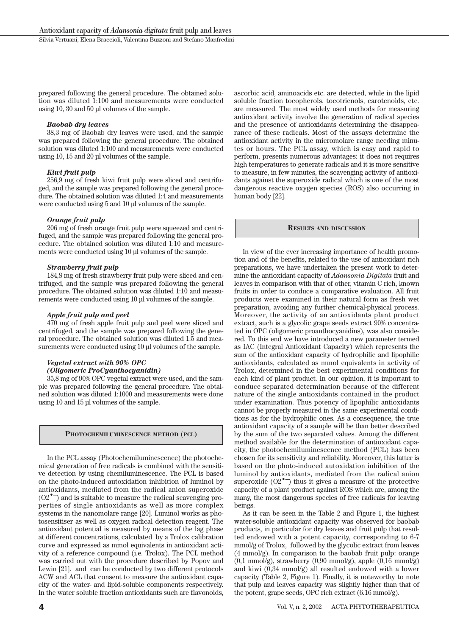Silvia Vertuani, Elena Braccioli, Valentina Buzzoni and Stefano Manfredini

prepared following the general procedure. The obtained solution was diluted 1:100 and measurements were conducted using 10, 30 and 50 µl volumes of the sample.

#### *Baobab dry leaves*

38,3 mg of Baobab dry leaves were used, and the sample was prepared following the general procedure. The obtained solution was diluted 1:100 and measurements were conducted using 10, 15 and 20 µl volumes of the sample.

#### *Kiwi fruit pulp*

256,9 mg of fresh kiwi fruit pulp were sliced and centrifuged, and the sample was prepared following the general procedure. The obtained solution was diluted 1:4 and measurements were conducted using 5 and 10 µl volumes of the sample.

### *Orange fruit pulp*

206 mg of fresh orange fruit pulp were squeezed and centrifuged, and the sample was prepared following the general procedure. The obtained solution was diluted 1:10 and measurements were conducted using 10 µl volumes of the sample.

# *Strawberry fruit pulp*

184,8 mg of fresh strawberry fruit pulp were sliced and centrifuged, and the sample was prepared following the general procedure. The obtained solution was diluted 1:10 and measurements were conducted using 10 µl volumes of the sample.

#### *Apple fruit pulp and peel*

470 mg of fresh apple fruit pulp and peel were sliced and centrifuged, and the sample was prepared following the general procedure. The obtained solution was diluted 1:5 and measurements were conducted using 10 µl volumes of the sample.

### *Vegetal extract with 90% OPC (Oligomeric ProCyanthocyanidin)*

using 10 and 15 µl volumes of the sample.

35,8 mg of 90% OPC vegetal extract were used, and the sample was prepared following the general procedure. The obtained solution was diluted 1:1000 and measurements were done

#### **PHOTOCHEMILUMINESCENCE METHOD (PCL)**

In the PCL assay (Photochemiluminescence) the photochemical generation of free radicals is combined with the sensitive detection by using chemiluminescence. The PCL is based on the photo-induced autoxidation inhibition of luminol by antioxidants, mediated from the radical anion superoxide  $(02^{\bullet-})$  and is suitable to measure the radical scavenging properties of single antioxidants as well as more complex systems in the nanomolare range [20]. Luminol works as photosensitiser as well as oxygen radical detection reagent. The antioxidant potential is measured by means of the lag phase at different concentrations, calculated by a Trolox calibration curve and expressed as mmol equivalents in antioxidant activity of a reference compound (i.e. Trolox). The PCL method was carried out with the procedure described by Popov and Lewin [21]. and can be conducted by two different protocols ACW and ACL that consent to measure the antioxidant capacity of the water- and lipid-soluble components respectively. In the water soluble fraction antioxidants such are flavonoids,

ascorbic acid, aminoacids etc. are detected, while in the lipid soluble fraction tocopherols, tocotrienols, carotenoids, etc. are measured. The most widely used methods for measuring antioxidant activity involve the generation of radical species and the presence of antioxidants determining the disappearance of these radicals. Most of the assays determine the antioxidant activity in the micromolare range needing minutes or hours. The PCL assay, which is easy and rapid to perform, presents numerous advantages: it does not requires high temperatures to generate radicals and it is more sensitive to measure, in few minutes, the scavenging activity of antioxidants against the superoxide radical which is one of the most dangerous reactive oxygen species (ROS) also occurring in human body [22].

#### **RESULTS AND DISCUSSION**

In view of the ever increasing importance of health promotion and of the benefits, related to the use of antioxidant rich preparations, we have undertaken the present work to determine the antioxidant capacity of *Adansonia Digitata* fruit and leaves in comparison with that of other, vitamin C rich, known fruits in order to conduce a comparative evaluation. All fruit products were examined in their natural form as fresh wet preparation, avoiding any further chemical-physical process. Moreover, the activity of an antioxidants plant product extract, such is a glycolic grape seeds extract 90% concentrated in OPC (oligomeric proanthocyanidins), was also considered. To this end we have introduced a new parameter termed as IAC (Integral Antioxidant Capacity) which represents the sum of the antioxidant capacity of hydrophilic and lipophilic antioxidants, calculated as mmol equivalents in activity of Trolox, determined in the best experimental conditions for each kind of plant product. In our opinion, it is important to conduce separated determination because of the different nature of the single antioxidants contained in the product under examination. Thus potency of lipophilic antioxidants cannot be properly measured in the same experimental conditions as for the hydrophilic ones. As a consequence, the true antioxidant capacity of a sample will be than better described by the sum of the two separated values. Among the different method available for the determination of antioxidant capacity, the photochemiluminescence method (PCL) has been chosen for its sensitivity and reliability. Moreover, this latter is based on the photo-induced autoxidation inhibition of the luminol by antioxidants, mediated from the radical anion superoxide  $(O2^{\bullet-})$  thus it gives a measure of the protective capacity of a plant product against ROS which are, among the many, the most dangerous species of free radicals for leaving beings.

As it can be seen in the Table 2 and Figure 1, the highest water-soluble antioxidant capacity was observed for baobab products, in particular for dry leaves and fruit pulp that resulted endowed with a potent capacity, corresponding to 6-7 mmol/g of Trolox, followed by the glycolic extract from leaves (4 mmol/g). In comparison to the baobab fruit pulp: orange  $(0,1 \text{ mmol/g})$ , strawberry  $(0,90 \text{ mmol/g})$ , apple  $(0,16 \text{ mmol/g})$ and kiwi (0,34 mmol/g) all resulted endowed with a lower capacity (Table 2, Figure 1). Finally, it is noteworthy to note that pulp and leaves capacity was slightly higher than that of the potent, grape seeds, OPC rich extract (6.16 mmol/g).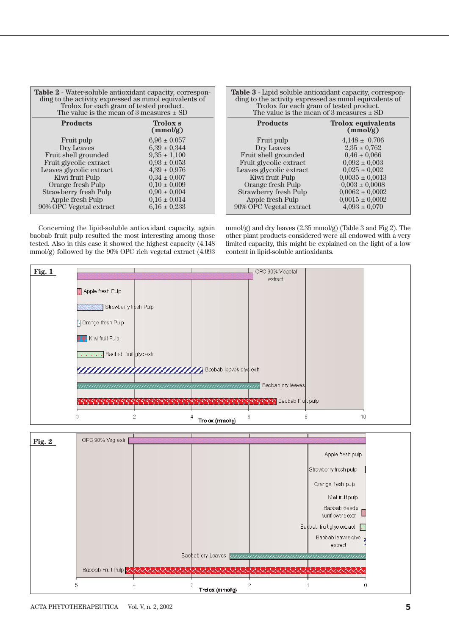| <b>Table 2</b> - Water-soluble antioxidant capacity, correspon-<br>ding to the activity expressed as mmol equivalents of<br>Trolox for each gram of tested product.<br>The value is the mean of 3 measures $\pm$ SD |                             |  |
|---------------------------------------------------------------------------------------------------------------------------------------------------------------------------------------------------------------------|-----------------------------|--|
| <b>Products</b>                                                                                                                                                                                                     | <b>Trolox</b> s<br>(mmol/g) |  |
| Fruit pulp                                                                                                                                                                                                          | $6.96 \pm 0.057$            |  |
| Dry Leaves                                                                                                                                                                                                          | $6.39 \pm 0.344$            |  |
| Fruit shell grounded                                                                                                                                                                                                | $9.35 \pm 1.100$            |  |
| Fruit glycolic extract                                                                                                                                                                                              | $0.93 \pm 0.053$            |  |
| Leaves glycolic extract                                                                                                                                                                                             | $4,39 \pm 0,976$            |  |
| Kiwi fruit Pulp                                                                                                                                                                                                     | $0.34 \pm 0.007$            |  |
| Orange fresh Pulp                                                                                                                                                                                                   | $0.10 \pm 0.009$            |  |
| <b>Strawberry fresh Pulp</b>                                                                                                                                                                                        | $0,90 \pm 0,004$            |  |
| Apple fresh Pulp                                                                                                                                                                                                    | $0.16 \pm 0.014$            |  |
| 90% OPC Vegetal extract                                                                                                                                                                                             | $6.16 \pm 0.233$            |  |

| <b>Table 3</b> - Lipid soluble antioxidant capacity, correspon-<br>ding to the activity expressed as mmol equivalents of<br>Trolox for each gram of tested product.<br>The value is the mean of 3 measures $\pm$ SD |                                       |  |  |
|---------------------------------------------------------------------------------------------------------------------------------------------------------------------------------------------------------------------|---------------------------------------|--|--|
| <b>Products</b>                                                                                                                                                                                                     | <b>Trolox equivalents</b><br>(mmol/g) |  |  |
| <b>Fruit pulp</b>                                                                                                                                                                                                   | $4,148 \pm 0.706$                     |  |  |
| Dry Leaves                                                                                                                                                                                                          | $2,35 \pm 0,762$                      |  |  |
| Fruit shell grounded                                                                                                                                                                                                | $0.46 \pm 0.066$                      |  |  |
| Fruit glycolic extract                                                                                                                                                                                              | $0,092 \pm 0,003$                     |  |  |
| Leaves glycolic extract                                                                                                                                                                                             | $0.025 \pm 0.002$                     |  |  |
| Kiwi fruit Pulp                                                                                                                                                                                                     | $0,0035 \pm 0,0013$                   |  |  |
| Orange fresh Pulp                                                                                                                                                                                                   | $0,003 \pm 0,0008$                    |  |  |
| <b>Strawberry fresh Pulp</b>                                                                                                                                                                                        | $0,0062 \pm 0,0002$                   |  |  |
| Apple fresh Pulp                                                                                                                                                                                                    | $0,0015 \pm 0,0002$                   |  |  |
| 90% OPC Vegetal extract                                                                                                                                                                                             | $4,093 \pm 0,070$                     |  |  |

Concerning the lipid-soluble antioxidant capacity, again baobab fruit pulp resulted the most interesting among those tested. Also in this case it showed the highest capacity (4.148 mmol/g) followed by the 90% OPC rich vegetal extract (4.093 mmol/g) and dry leaves (2.35 mmol/g) (Table 3 and Fig 2). The other plant products considered were all endowed with a very limited capacity, this might be explained on the light of a low content in lipid-soluble antioxidants.



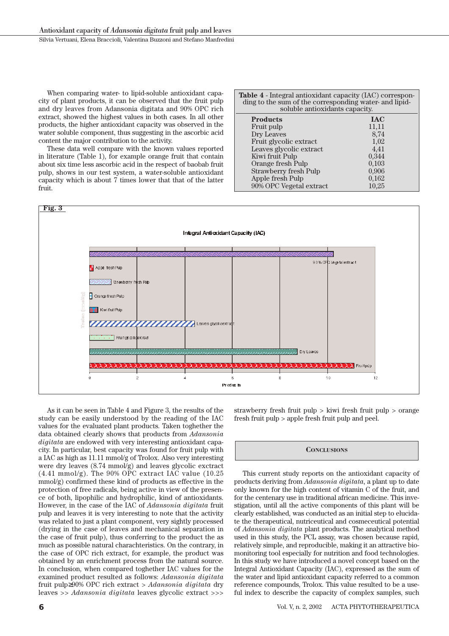Silvia Vertuani, Elena Braccioli, Valentina Buzzoni and Stefano Manfredini

When comparing water- to lipid-soluble antioxidant capacity of plant products, it can be observed that the fruit pulp and dry leaves from Adansonia digitata and 90% OPC rich extract, showed the highest values in both cases. In all other products, the higher antioxidant capacity was observed in the water soluble component, thus suggesting in the ascorbic acid content the major contribution to the activity.

These data well compare with the known values reported in literature (Table 1), for example orange fruit that contain about six time less ascorbic acid in the respect of baobab fruit pulp, shows in our test system, a water-soluble antioxidant capacity which is about 7 times lower that that of the latter fruit.

| <b>Table 4</b> - Integral antioxidant capacity (IAC) correspon-<br>ding to the sum of the corresponding water- and lipid-<br>soluble antioxidants capacity. |            |  |
|-------------------------------------------------------------------------------------------------------------------------------------------------------------|------------|--|
| <b>Products</b>                                                                                                                                             | <b>TAC</b> |  |
| Fruit pulp                                                                                                                                                  | 11,11      |  |
| Dry Leaves                                                                                                                                                  | 8,74       |  |
| Fruit glycolic extract                                                                                                                                      | 1,02       |  |
| Leaves glycolic extract                                                                                                                                     | 4,41       |  |
| Kiwi fruit Pulp                                                                                                                                             | 0,344      |  |
| Orange fresh Pulp                                                                                                                                           | 0,103      |  |
| <b>Strawberry fresh Pulp</b>                                                                                                                                | 0,906      |  |
| Apple fresh Pulp                                                                                                                                            | 0,162      |  |
| 90% OPC Vegetal extract                                                                                                                                     | 10,25      |  |



As it can be seen in Table 4 and Figure 3, the results of the study can be easily understood by the reading of the IAC values for the evaluated plant products. Taken toghether the data obtained clearly shows that products from *Adansonia digitata* are endowed with very interesting antioxidant capacity. In particular, best capacity was found for fruit pulp with a IAC as high as 11.11 mmol/g of Trolox. Also very interesting were dry leaves (8.74 mmol/g) and leaves glycolic exctract (4.41 mmol/g). The 90% OPC extract IAC value (10.25 mmol/g) confirmed these kind of products as effective in the protection of free radicals, being active in view of the presence of both, lipophilic and hydrophilic, kind of antioxidants. However, in the case of the IAC of *Adansonia digitata* fruit pulp and leaves it is very interesting to note that the activity was related to just a plant component, very sightly processed (drying in the case of leaves and mechanical separation in the case of fruit pulp), thus conferring to the product the as much as possible natural charachteristics. On the contrary, in the case of OPC rich extract, for example, the product was obtained by an enrichment process from the natural source. In conclusion, when compared toghether IAC values for the examined product resulted as follows: *Adansonia digitata* fruit pulp≥90% OPC rich extract > *Adansonia digitata* dry leaves >> *Adansonia digitata* leaves glycolic extract >>>

strawberry fresh fruit pulp > kiwi fresh fruit pulp > orange fresh fruit pulp > apple fresh fruit pulp and peel.

# **CONCLUSIONS**

This current study reports on the antioxidant capacity of products deriving from *Adansonia digitata*, a plant up to date only known for the high content of vitamin C of the fruit, and for the centenary use in traditional african medicine. This investigation, until all the active components of this plant will be clearly established, was conducted as an initial step to elucidate the therapeutical, nutriceutical and cosmeceutical potential of *Adansonia digitata* plant products. The analytical method used in this study, the PCL assay, was chosen because rapid, relatively simple, and reproducible, making it an attractive biomonitoring tool especially for nutrition and food technologies. In this study we have introduced a novel concept based on the Integral Antioxidant Capacity (IAC), expressed as the sum of the water and lipid antioxidant capacity referred to a common reference compounds, Trolox. This value resulted to be a useful index to describe the capacity of complex samples, such